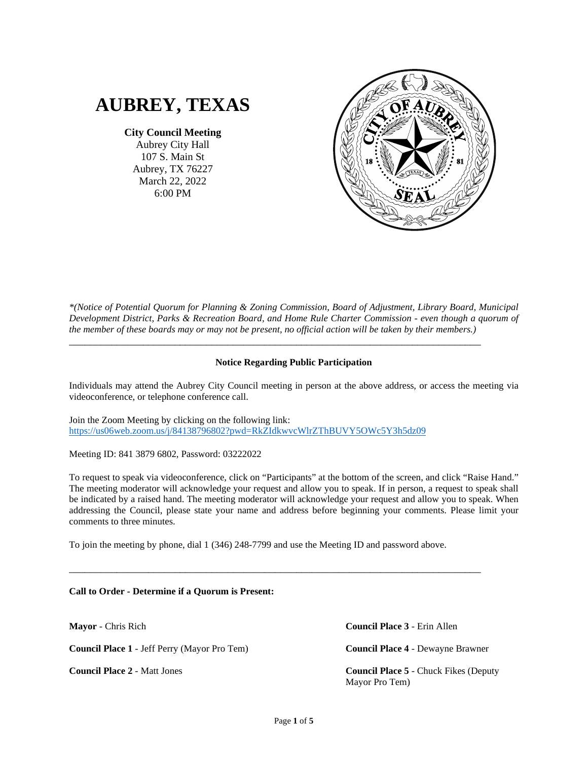

**City Council Meeting**

Aubrey City Hall 107 S. Main St Aubrey, TX 76227 March 22, 2022 6:00 PM



*\*(Notice of Potential Quorum for Planning & Zoning Commission, Board of Adjustment, Library Board, Municipal Development District, Parks & Recreation Board, and Home Rule Charter Commission - even though a quorum of the member of these boards may or may not be present, no official action will be taken by their members.)*

## **Notice Regarding Public Participation**

\_\_\_\_\_\_\_\_\_\_\_\_\_\_\_\_\_\_\_\_\_\_\_\_\_\_\_\_\_\_\_\_\_\_\_\_\_\_\_\_\_\_\_\_\_\_\_\_\_\_\_\_\_\_\_\_\_\_\_\_\_\_\_\_\_\_\_\_\_\_\_\_\_\_\_\_\_\_

Individuals may attend the Aubrey City Council meeting in person at the above address, or access the meeting via videoconference, or telephone conference call.

Join the Zoom Meeting by clicking on the following link: <https://us06web.zoom.us/j/84138796802?pwd=RkZIdkwvcWlrZThBUVY5OWc5Y3h5dz09>

Meeting ID: 841 3879 6802, Password: 03222022

To request to speak via videoconference, click on "Participants" at the bottom of the screen, and click "Raise Hand." The meeting moderator will acknowledge your request and allow you to speak. If in person, a request to speak shall be indicated by a raised hand. The meeting moderator will acknowledge your request and allow you to speak. When addressing the Council, please state your name and address before beginning your comments. Please limit your comments to three minutes.

To join the meeting by phone, dial 1 (346) 248-7799 and use the Meeting ID and password above.

\_\_\_\_\_\_\_\_\_\_\_\_\_\_\_\_\_\_\_\_\_\_\_\_\_\_\_\_\_\_\_\_\_\_\_\_\_\_\_\_\_\_\_\_\_\_\_\_\_\_\_\_\_\_\_\_\_\_\_\_\_\_\_\_\_\_\_\_\_\_\_\_\_\_\_\_\_\_

**Call to Order - Determine if a Quorum is Present:**

**Mayor** - Chris Rich

**Council Place 1** - Jeff Perry (Mayor Pro Tem)

**Council Place 2** - Matt Jones

**Council Place 3** - Erin Allen

**Council Place 4** - Dewayne Brawner

**Council Place 5** - Chuck Fikes (Deputy Mayor Pro Tem)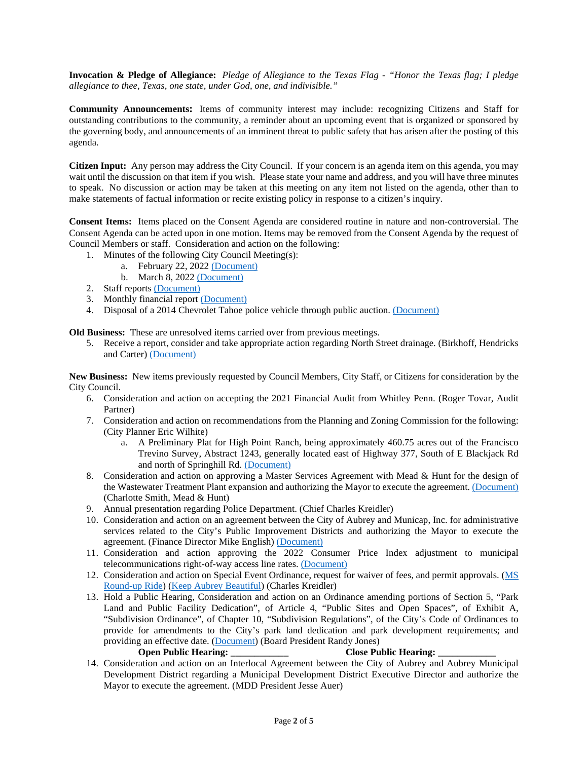**Invocation & Pledge of Allegiance:** *Pledge of Allegiance to the Texas Flag - "Honor the Texas flag; I pledge allegiance to thee, Texas, one state, under God, one, and indivisible."*

**Community Announcements:** Items of community interest may include: recognizing Citizens and Staff for outstanding contributions to the community, a reminder about an upcoming event that is organized or sponsored by the governing body, and announcements of an imminent threat to public safety that has arisen after the posting of this agenda.

**Citizen Input:** Any person may address the City Council. If your concern is an agenda item on this agenda, you may wait until the discussion on that item if you wish. Please state your name and address, and you will have three minutes to speak. No discussion or action may be taken at this meeting on any item not listed on the agenda, other than to make statements of factual information or recite existing policy in response to a citizen's inquiry.

**Consent Items:** Items placed on the Consent Agenda are considered routine in nature and non-controversial. The Consent Agenda can be acted upon in one motion. Items may be removed from the Consent Agenda by the request of Council Members or staff. Consideration and action on the following:

- 1. Minutes of the following City Council Meeting(s):
	- a. February 22, 2022 [\(Document\)](https://www.dropbox.com/s/n7zx0itzdrcsbrd/1%202022_02_22%20Minutes.pdf?dl=0)
	- b. March 8, 2022 [\(Document\)](https://www.dropbox.com/s/91dp9m77qv691pa/1%202022_03_08%20Minutes.pdf?dl=0)
- 2. Staff reports [\(Document\)](https://www.dropbox.com/s/t0dyjn5mvn49uy2/2%20Staff%20Reports.pdf?dl=0)
- 3. Monthly financial report [\(Document\)](https://www.dropbox.com/s/vfpq7vpi480fl2m/3%20Financials.pdf?dl=0)
- 4. Disposal of a 2014 Chevrolet Tahoe police vehicle through public auction. [\(Document\)](https://www.dropbox.com/s/84a9fcwvdcuch9c/4%202014%20Tahoe%20auction.pdf?dl=0)

**Old Business:** These are unresolved items carried over from previous meetings.

5. Receive a report, consider and take appropriate action regarding North Street drainage. (Birkhoff, Hendricks and Carter) [\(Document\)](https://www.dropbox.com/s/uoteadj2dou7jbk/5%20North%20Street%20Drainage.pdf?dl=0)

**New Business:** New items previously requested by Council Members, City Staff, or Citizens for consideration by the City Council.

- 6. Consideration and action on accepting the 2021 Financial Audit from Whitley Penn. (Roger Tovar, Audit Partner)
- 7. Consideration and action on recommendations from the Planning and Zoning Commission for the following: (City Planner Eric Wilhite)
	- a. A Preliminary Plat for High Point Ranch, being approximately 460.75 acres out of the Francisco Trevino Survey, Abstract 1243, generally located east of Highway 377, South of E Blackjack Rd and north of Springhill Rd[. \(Document\)](https://www.dropbox.com/s/lr2jwvxbzh5fynu/7%20High%20Point%20Ranch%20PP%20-%20Staff%20Report_CC.pdf?dl=0)
- 8. Consideration and action on approving a Master Services Agreement with Mead & Hunt for the design of the Wastewater Treatment Plant expansion and authorizing the Mayor to execute the agreement. [\(Document\)](https://www.dropbox.com/s/m0w7dhzuwy0abul/8%20Treatment%20Plant%20Expansion%20Agreement_March%202022..pdf?dl=0) (Charlotte Smith, Mead & Hunt)
- 9. Annual presentation regarding Police Department. (Chief Charles Kreidler)
- 10. Consideration and action on an agreement between the City of Aubrey and Municap, Inc. for administrative services related to the City's Public Improvement Districts and authorizing the Mayor to execute the agreement. (Finance Director Mike English) [\(Document\)](https://www.dropbox.com/s/72rjxf390ns7owd/10%20Municap%20PID%20Admin%20Agreement%202022..pdf?dl=0)
- 11. Consideration and action approving the 2022 Consumer Price Index adjustment to municipal telecommunications right-of-way access line rates. [\(Document\)](https://www.dropbox.com/s/4cxt2znhi0iho53/11%20CPI%20Adjustment..pdf?dl=0)
- 12. Consideration and action on Special Event Ordinance, request for waiver of fees, and permit approvals. [\(MS](https://www.dropbox.com/s/55f7swxu99oraiz/12%20Special%20Event%20-%20MS%20Round-Up.pdf?dl=0)  [Round-up Ride\)](https://www.dropbox.com/s/55f7swxu99oraiz/12%20Special%20Event%20-%20MS%20Round-Up.pdf?dl=0) [\(Keep Aubrey Beautiful\)](https://www.dropbox.com/s/wsfafuyhpmt1iqm/12%20Special%20Event%20-%20Keep%20Aubrey%20Beautiful.pdf?dl=0) (Charles Kreidler)
- 13. Hold a Public Hearing, Consideration and action on an Ordinance amending portions of Section 5, "Park Land and Public Facility Dedication", of Article 4, "Public Sites and Open Spaces", of Exhibit A, "Subdivision Ordinance", of Chapter 10, "Subdivision Regulations", of the City's Code of Ordinances to provide for amendments to the City's park land dedication and park development requirements; and providing an effective date. [\(Document\)](https://www.dropbox.com/s/114dm0az7bkqwvw/13%20ORD%20742-22%20Park%20Land%20Dedication%20Ordinance%20%28EB%2003182022%29%28clean%29.pdf?dl=0) (Board President Randy Jones)

# **Open Public Hearing: \_\_\_\_\_\_\_\_\_\_\_\_ Close Public Hearing: \_\_\_\_\_\_\_\_\_\_\_\_**

14. Consideration and action on an Interlocal Agreement between the City of Aubrey and Aubrey Municipal Development District regarding a Municipal Development District Executive Director and authorize the Mayor to execute the agreement. (MDD President Jesse Auer)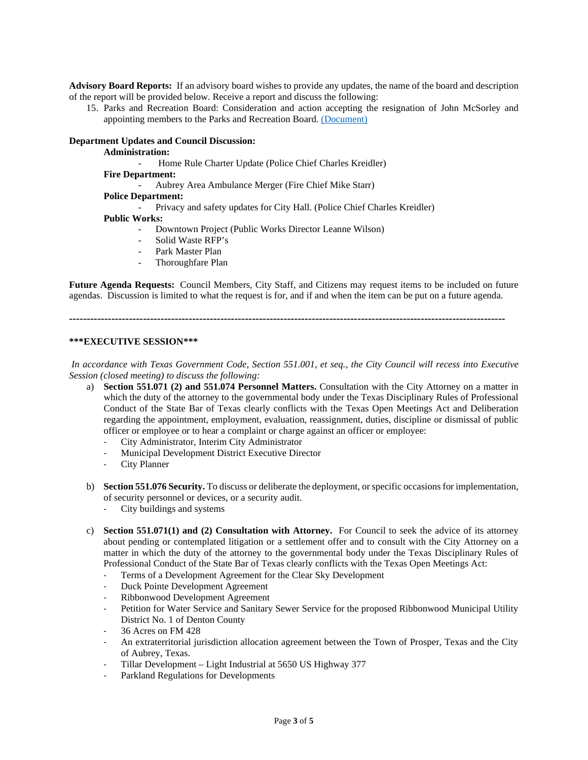**Advisory Board Reports:** If an advisory board wishes to provide any updates, the name of the board and description of the report will be provided below. Receive a report and discuss the following:

15. Parks and Recreation Board: Consideration and action accepting the resignation of John McSorley and appointing members to the Parks and Recreation Board. [\(Document\)](https://www.dropbox.com/s/xwihxxjdslwszby/15%20McSorley%20Resignation.pdf?dl=0)

### **Department Updates and Council Discussion:**

### **Administration:**

- Home Rule Charter Update (Police Chief Charles Kreidler)

**Fire Department:**

- Aubrey Area Ambulance Merger (Fire Chief Mike Starr)

**Police Department:**

- Privacy and safety updates for City Hall. (Police Chief Charles Kreidler)

**Public Works:**

- Downtown Project (Public Works Director Leanne Wilson)
- Solid Waste RFP's
- Park Master Plan
- Thoroughfare Plan

**Future Agenda Requests:** Council Members, City Staff, and Citizens may request items to be included on future agendas. Discussion is limited to what the request is for, and if and when the item can be put on a future agenda.

**----------------------------------------------------------------------------------------------------------------------------**

### **\*\*\*EXECUTIVE SESSION\*\*\***

*In accordance with Texas Government Code, Section 551.001, et seq., the City Council will recess into Executive Session (closed meeting) to discuss the following:*

- a) **Section 551.071 (2) and 551.074 Personnel Matters.** Consultation with the City Attorney on a matter in which the duty of the attorney to the governmental body under the Texas Disciplinary Rules of Professional Conduct of the State Bar of Texas clearly conflicts with the Texas Open Meetings Act and Deliberation regarding the appointment, employment, evaluation, reassignment, duties, discipline or dismissal of public officer or employee or to hear a complaint or charge against an officer or employee:
	- City Administrator, Interim City Administrator
	- Municipal Development District Executive Director
	- City Planner
- b) **Section 551.076 Security.** To discuss or deliberate the deployment, or specific occasions for implementation, of security personnel or devices, or a security audit.
	- City buildings and systems
- c) **Section 551.071(1) and (2) Consultation with Attorney.** For Council to seek the advice of its attorney about pending or contemplated litigation or a settlement offer and to consult with the City Attorney on a matter in which the duty of the attorney to the governmental body under the Texas Disciplinary Rules of Professional Conduct of the State Bar of Texas clearly conflicts with the Texas Open Meetings Act:
	- Terms of a Development Agreement for the Clear Sky Development
	- Duck Pointe Development Agreement
	- Ribbonwood Development Agreement
	- Petition for Water Service and Sanitary Sewer Service for the proposed Ribbonwood Municipal Utility District No. 1 of Denton County
	- 36 Acres on FM 428
	- An extraterritorial jurisdiction allocation agreement between the Town of Prosper, Texas and the City of Aubrey, Texas.
	- Tillar Development Light Industrial at 5650 US Highway 377
	- Parkland Regulations for Developments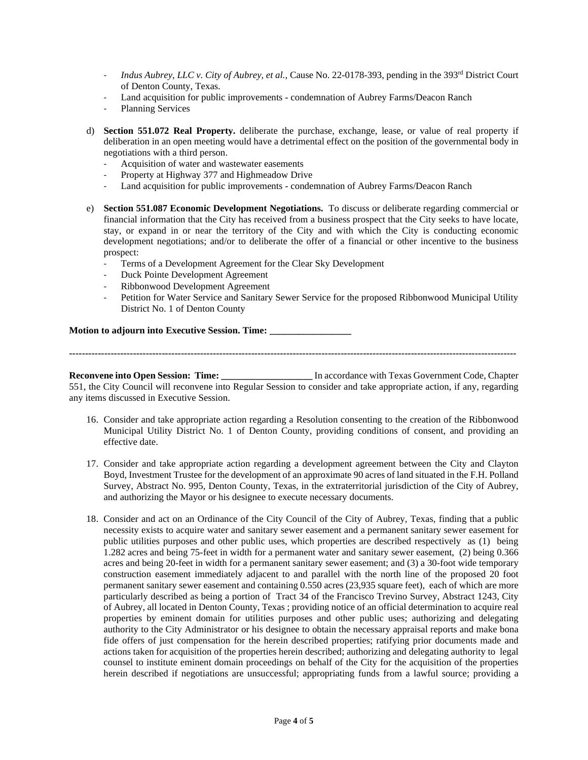- *Indus Aubrey, LLC v. City of Aubrey, et al.,* Cause No. 22-0178-393, pending in the 393rd District Court of Denton County, Texas.
- Land acquisition for public improvements condemnation of Aubrey Farms/Deacon Ranch
- Planning Services
- d) **Section 551.072 Real Property.** deliberate the purchase, exchange, lease, or value of real property if deliberation in an open meeting would have a detrimental effect on the position of the governmental body in negotiations with a third person.
	- Acquisition of water and wastewater easements
	- Property at Highway 377 and Highmeadow Drive
	- Land acquisition for public improvements condemnation of Aubrey Farms/Deacon Ranch
- e) **Section 551.087 Economic Development Negotiations.** To discuss or deliberate regarding commercial or financial information that the City has received from a business prospect that the City seeks to have locate, stay, or expand in or near the territory of the City and with which the City is conducting economic development negotiations; and/or to deliberate the offer of a financial or other incentive to the business prospect:
	- Terms of a Development Agreement for the Clear Sky Development
	- Duck Pointe Development Agreement
	- Ribbonwood Development Agreement
	- Petition for Water Service and Sanitary Sewer Service for the proposed Ribbonwood Municipal Utility District No. 1 of Denton County

## **Motion to adjourn into Executive Session. Time: \_\_\_\_\_\_\_\_\_\_\_\_\_\_\_\_\_**

**--------------------------------------------------------------------------------------------------------------------------------------------**

**Reconvene into Open Session: Time: \_\_\_\_\_\_\_\_\_\_\_\_\_\_\_\_\_\_\_** In accordance with Texas Government Code, Chapter 551, the City Council will reconvene into Regular Session to consider and take appropriate action, if any, regarding any items discussed in Executive Session.

- 16. Consider and take appropriate action regarding a Resolution consenting to the creation of the Ribbonwood Municipal Utility District No. 1 of Denton County, providing conditions of consent, and providing an effective date.
- 17. Consider and take appropriate action regarding a development agreement between the City and Clayton Boyd, Investment Trustee for the development of an approximate 90 acres of land situated in the F.H. Polland Survey, Abstract No. 995, Denton County, Texas, in the extraterritorial jurisdiction of the City of Aubrey, and authorizing the Mayor or his designee to execute necessary documents.
- 18. Consider and act on an Ordinance of the City Council of the City of Aubrey, Texas, finding that a public necessity exists to acquire water and sanitary sewer easement and a permanent sanitary sewer easement for public utilities purposes and other public uses, which properties are described respectively as (1) being 1.282 acres and being 75-feet in width for a permanent water and sanitary sewer easement, (2) being 0.366 acres and being 20-feet in width for a permanent sanitary sewer easement; and (3) a 30-foot wide temporary construction easement immediately adjacent to and parallel with the north line of the proposed 20 foot permanent sanitary sewer easement and containing 0.550 acres (23,935 square feet), each of which are more particularly described as being a portion of Tract 34 of the Francisco Trevino Survey, Abstract 1243, City of Aubrey, all located in Denton County, Texas ; providing notice of an official determination to acquire real properties by eminent domain for utilities purposes and other public uses; authorizing and delegating authority to the City Administrator or his designee to obtain the necessary appraisal reports and make bona fide offers of just compensation for the herein described properties; ratifying prior documents made and actions taken for acquisition of the properties herein described; authorizing and delegating authority to legal counsel to institute eminent domain proceedings on behalf of the City for the acquisition of the properties herein described if negotiations are unsuccessful; appropriating funds from a lawful source; providing a